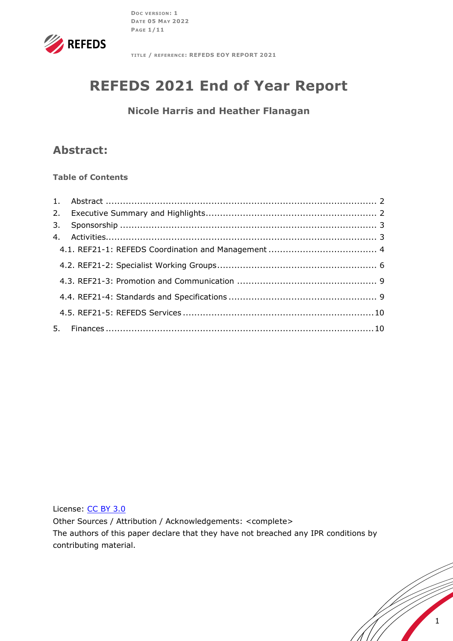**DOC VERSION: 1 DATE 05 MAY 2022 PAGE 1/11**



**TITLE / REFERENCE: REFEDS EOY REPORT 2021**

# **REFEDS 2021 End of Year Report**

**Nicole Harris and Heather Flanagan**

# **Abstract:**

#### **Table of Contents**

License: [CC BY 3.0](https://creativecommons.org/licenses/by/3.0/legalcode)

Other Sources / Attribution / Acknowledgements: <complete> The authors of this paper declare that they have not breached any IPR conditions by contributing material.

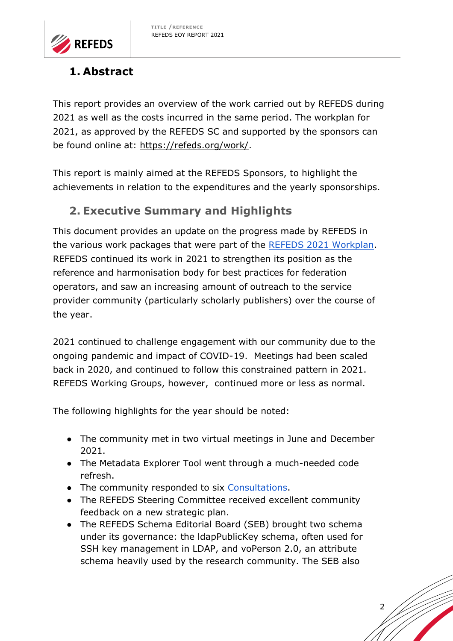

# <span id="page-1-0"></span>**1. Abstract**

This report provides an overview of the work carried out by REFEDS during 2021 as well as the costs incurred in the same period. The workplan for 2021, as approved by the REFEDS SC and supported by the sponsors can be found online at: [https://refeds.org/work/.](https://refeds.org/work/)

This report is mainly aimed at the REFEDS Sponsors, to highlight the achievements in relation to the expenditures and the yearly sponsorships.

# <span id="page-1-1"></span>**2. Executive Summary and Highlights**

This document provides an update on the progress made by REFEDS in the various work packages that were part of the [REFEDS 2021 Workplan.](https://wiki.refeds.org/display/WOR/2021+Workplan+-+Proposed) REFEDS continued its work in 2021 to strengthen its position as the reference and harmonisation body for best practices for federation operators, and saw an increasing amount of outreach to the service provider community (particularly scholarly publishers) over the course of the year.

2021 continued to challenge engagement with our community due to the ongoing pandemic and impact of COVID-19. Meetings had been scaled back in 2020, and continued to follow this constrained pattern in 2021. REFEDS Working Groups, however, continued more or less as normal.

The following highlights for the year should be noted:

- The community met in two virtual meetings in June and December 2021.
- The Metadata Explorer Tool went through a much-needed code refresh.
- The community responded to six [Consultations.](https://wiki.refeds.org/display/CON)
- The REFEDS Steering Committee received excellent community feedback on a new strategic plan.
- The REFEDS Schema Editorial Board (SEB) brought two schema under its governance: the ldapPublicKey schema, often used for SSH key management in LDAP, and voPerson 2.0, an attribute schema heavily used by the research community. The SEB also

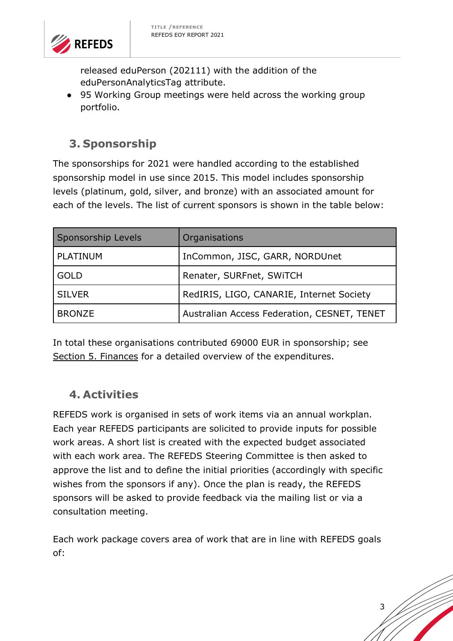

released eduPerson (202111) with the addition of the eduPersonAnalyticsTag attribute.

• 95 Working Group meetings were held across the working group portfolio.

# <span id="page-2-0"></span>**3. Sponsorship**

The sponsorships for 2021 were handled according to the established sponsorship model in use since 2015. This model includes sponsorship levels (platinum, gold, silver, and bronze) with an associated amount for each of the levels. The list of current sponsors is shown in the table below:

| Sponsorship Levels | Organisations                               |
|--------------------|---------------------------------------------|
| PLATINUM           | InCommon, JISC, GARR, NORDUnet              |
| <b>GOLD</b>        | Renater, SURFnet, SWITCH                    |
| <b>SILVER</b>      | RedIRIS, LIGO, CANARIE, Internet Society    |
| <b>BRONZE</b>      | Australian Access Federation, CESNET, TENET |

In total these organisations contributed 69000 EUR in sponsorship; see [Section 5. Finances](#page-9-1) for a detailed overview of the expenditures.

# <span id="page-2-1"></span>**4. Activities**

REFEDS work is organised in sets of work items via an annual workplan. Each year REFEDS participants are solicited to provide inputs for possible work areas. A short list is created with the expected budget associated with each work area. The REFEDS Steering Committee is then asked to approve the list and to define the initial priorities (accordingly with specific wishes from the sponsors if any). Once the plan is ready, the REFEDS sponsors will be asked to provide feedback via the mailing list or via a consultation meeting.

Each work package covers area of work that are in line with REFEDS goals of:

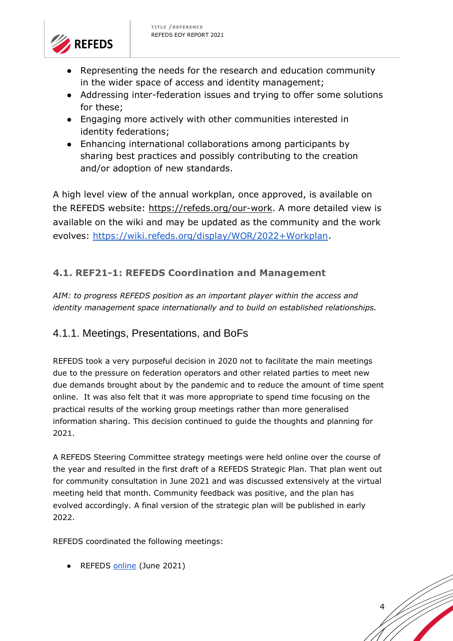

- Representing the needs for the research and education community in the wider space of access and identity management;
- Addressing inter-federation issues and trying to offer some solutions for these;
- Engaging more actively with other communities interested in identity federations;
- Enhancing international collaborations among participants by sharing best practices and possibly contributing to the creation and/or adoption of new standards.

A high level view of the annual workplan, once approved, is available on the REFEDS website: [https://refeds.org/our-work.](https://refeds.org/our-work) A more detailed view is available on the wiki and may be updated as the community and the work evolves: [https://wiki.refeds.org/display/WOR/2022+Workplan.](https://wiki.refeds.org/display/WOR/2022+Workplan)

# <span id="page-3-0"></span>**4.1. REF21-1: REFEDS Coordination and Management**

*AIM: to progress REFEDS position as an important player within the access and identity management space internationally and to build on established relationships.*

### 4.1.1. Meetings, Presentations, and BoFs

REFEDS took a very purposeful decision in 2020 not to facilitate the main meetings due to the pressure on federation operators and other related parties to meet new due demands brought about by the pandemic and to reduce the amount of time spent online. It was also felt that it was more appropriate to spend time focusing on the practical results of the working group meetings rather than more generalised information sharing. This decision continued to guide the thoughts and planning for 2021.

A REFEDS Steering Committee strategy meetings were held online over the course of the year and resulted in the first draft of a REFEDS Strategic Plan. That plan went out for community consultation in June 2021 and was discussed extensively at the virtual meeting held that month. Community feedback was positive, and the plan has evolved accordingly. A final version of the strategic plan will be published in early 2022.

4

REFEDS coordinated the following meetings:

● REFEDS [online](https://refeds.org/meetings/42nd) (June 2021)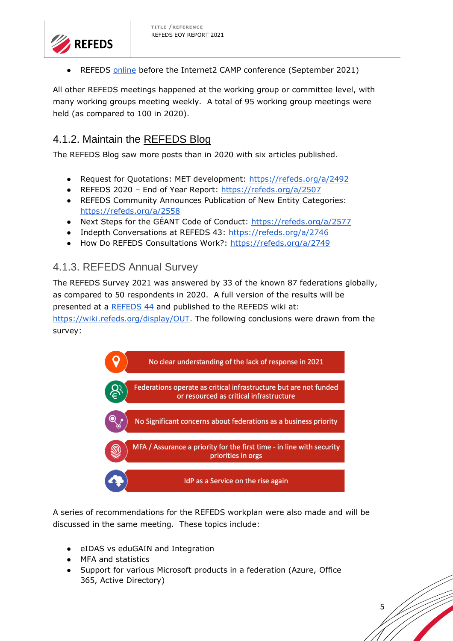

REFEDS [online](https://refeds.org/meetings/43rd) before the Internet2 CAMP conference (September 2021)

All other REFEDS meetings happened at the working group or committee level, with many working groups meeting weekly. A total of 95 working group meetings were held (as compared to 100 in 2020).

# 4.1.2. Maintain the [REFEDS Blog](https://refeds.org/blog)

The REFEDS Blog saw more posts than in 2020 with six articles published.

- Request for Quotations: MET development:<https://refeds.org/a/2492>
- REFEDS 2020 End of Year Report:<https://refeds.org/a/2507>
- REFEDS Community Announces Publication of New Entity Categories: <https://refeds.org/a/2558>
- Next Steps for the GÉANT Code of Conduct:<https://refeds.org/a/2577>
- Indepth Conversations at REFEDS 43:<https://refeds.org/a/2746>
- How Do REFEDS Consultations Work?:<https://refeds.org/a/2749>

#### 4.1.3. REFEDS Annual Survey

The REFEDS Survey 2021 was answered by 33 of the known 87 federations globally, as compared to 50 respondents in 2020. A full version of the results will be presented at a [REFEDS 44](https://refeds.org/meetings/44th) and published to the REFEDS wiki at:

[https://wiki.refeds.org/display/OUT.](https://wiki.refeds.org/display/OUT) The following conclusions were drawn from the survey:



A series of recommendations for the REFEDS workplan were also made and will be discussed in the same meeting. These topics include:

- eIDAS vs eduGAIN and Integration
- MFA and statistics
- Support for various Microsoft products in a federation (Azure, Office 365, Active Directory)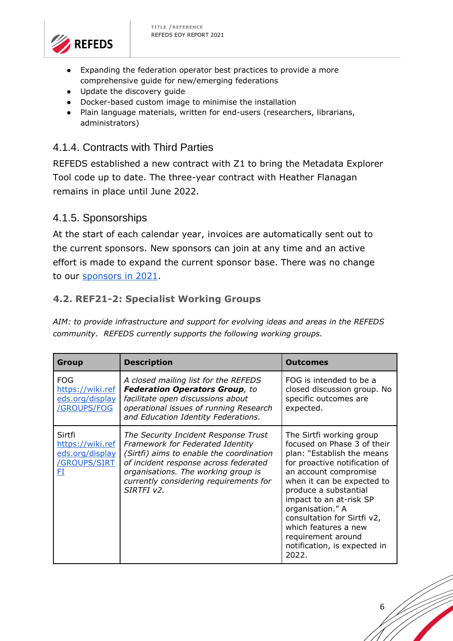

- Expanding the federation operator best practices to provide a more comprehensive guide for new/emerging federations
- Update the discovery guide
- Docker-based custom image to minimise the installation
- Plain language materials, written for end-users (researchers, librarians, administrators)

## 4.1.4. Contracts with Third Parties

REFEDS established a new contract with Z1 to bring the Metadata Explorer Tool code up to date. The three-year contract with Heather Flanagan remains in place until June 2022.

### 4.1.5. Sponsorships

At the start of each calendar year, invoices are automatically sent out to the current sponsors. New sponsors can join at any time and an active effort is made to expand the current sponsor base. There was no change to our sponsors in 2021.

### <span id="page-5-0"></span>**4.2. REF21-2: Specialist Working Groups**

*AIM: to provide infrastructure and support for evolving ideas and areas in the REFEDS community. REFEDS currently supports the following working groups.*

| <b>Group</b>                                                              | <b>Description</b>                                                                                                                                                                                                                                           | <b>Outcomes</b>                                                                                                                                                                                                                                                                                                                                                             |
|---------------------------------------------------------------------------|--------------------------------------------------------------------------------------------------------------------------------------------------------------------------------------------------------------------------------------------------------------|-----------------------------------------------------------------------------------------------------------------------------------------------------------------------------------------------------------------------------------------------------------------------------------------------------------------------------------------------------------------------------|
| <b>FOG</b><br>https://wiki.ref<br>eds.org/display<br>/GROUPS/FOG          | A closed mailing list for the REFEDS<br><b>Federation Operators Group, to</b><br>facilitate open discussions about<br>operational issues of running Research<br>and Education Identity Federations.                                                          | FOG is intended to be a<br>closed discussion group. No<br>specific outcomes are<br>expected.                                                                                                                                                                                                                                                                                |
| Sirtfi<br>https://wiki.ref<br>eds.org/display<br><b>GROUPS/SIRT</b><br>FI | The Security Incident Response Trust<br>Framework for Federated Identity<br>(Sirtfi) aims to enable the coordination<br>of incident response across federated<br>organisations. The working group is<br>currently considering requirements for<br>SIRTFI v2. | The Sirtfi working group<br>focused on Phase 3 of their<br>plan: "Establish the means<br>for proactive notification of<br>an account compromise<br>when it can be expected to<br>produce a substantial<br>impact to an at-risk SP<br>organisation." A<br>consultation for Sirtfi v2,<br>which features a new<br>requirement around<br>notification, is expected in<br>2022. |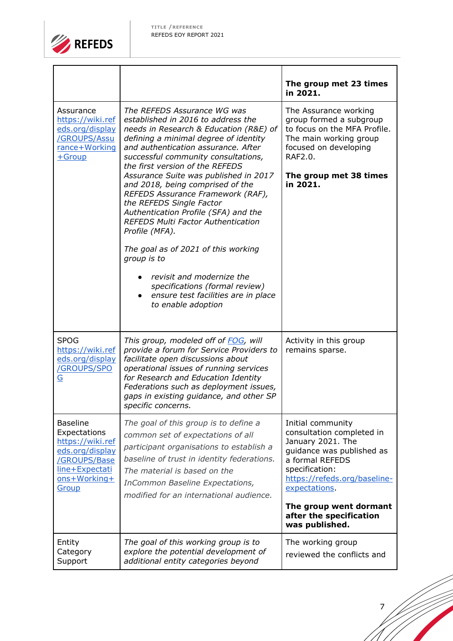

|                                                                                                                                          |                                                                                                                                                                                                                                                                                                                                                                                                                                                                                                                                                                                                                                                                                                              | The group met 23 times<br>in 2021.                                                                                                                                                                                                                            |
|------------------------------------------------------------------------------------------------------------------------------------------|--------------------------------------------------------------------------------------------------------------------------------------------------------------------------------------------------------------------------------------------------------------------------------------------------------------------------------------------------------------------------------------------------------------------------------------------------------------------------------------------------------------------------------------------------------------------------------------------------------------------------------------------------------------------------------------------------------------|---------------------------------------------------------------------------------------------------------------------------------------------------------------------------------------------------------------------------------------------------------------|
| Assurance<br>https://wiki.ref<br>eds.org/display<br>/GROUPS/Assu<br>rance+Working<br>$+$ Group                                           | The REFEDS Assurance WG was<br>established in 2016 to address the<br>needs in Research & Education (R&E) of<br>defining a minimal degree of identity<br>and authentication assurance. After<br>successful community consultations,<br>the first version of the REFEDS<br>Assurance Suite was published in 2017<br>and 2018, being comprised of the<br>REFEDS Assurance Framework (RAF),<br>the REFEDS Single Factor<br>Authentication Profile (SFA) and the<br><b>REFEDS Multi Factor Authentication</b><br>Profile (MFA).<br>The goal as of 2021 of this working<br>group is to<br>revisit and modernize the<br>specifications (formal review)<br>ensure test facilities are in place<br>to enable adoption | The Assurance working<br>group formed a subgroup<br>to focus on the MFA Profile.<br>The main working group<br>focused on developing<br>RAF2.0.<br>The group met 38 times<br>in 2021.                                                                          |
| <b>SPOG</b><br>https://wiki.ref<br>eds.org/display<br>/GROUPS/SPO<br><u>G</u>                                                            | This group, modeled off of FOG, will<br>provide a forum for Service Providers to<br>facilitate open discussions about<br>operational issues of running services<br>for Research and Education Identity<br>Federations such as deployment issues,<br>gaps in existing guidance, and other SP<br>specific concerns.                                                                                                                                                                                                                                                                                                                                                                                            | Activity in this group<br>remains sparse.                                                                                                                                                                                                                     |
| <b>Baseline</b><br>Expectations<br>https://wiki.ref<br>eds.org/display<br>/GROUPS/Base<br>line+Expectati<br>ons+Working+<br><b>Group</b> | The goal of this group is to define a<br>common set of expectations of all<br>participant organisations to establish a<br>baseline of trust in identity federations.<br>The material is based on the<br>InCommon Baseline Expectations,<br>modified for an international audience.                                                                                                                                                                                                                                                                                                                                                                                                                           | Initial community<br>consultation completed in<br>January 2021. The<br>guidance was published as<br>a formal REFEDS<br>specification:<br>https://refeds.org/baseline-<br>expectations.<br>The group went dormant<br>after the specification<br>was published. |
| Entity<br>Category<br>Support                                                                                                            | The goal of this working group is to<br>explore the potential development of<br>additional entity categories beyond                                                                                                                                                                                                                                                                                                                                                                                                                                                                                                                                                                                          | The working group<br>reviewed the conflicts and                                                                                                                                                                                                               |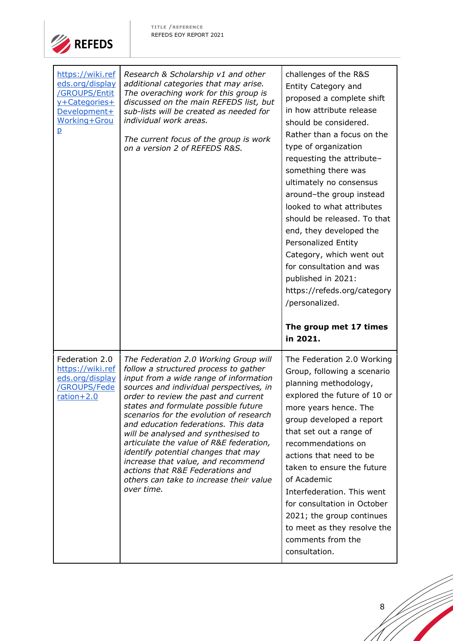

| https://wiki.ref<br>eds.org/display<br>/GROUPS/Entit<br>y+Categories+<br>Development+<br><b>Working+Grou</b><br>ք | Research & Scholarship v1 and other<br>additional categories that may arise.<br>The overaching work for this group is<br>discussed on the main REFEDS list, but<br>sub-lists will be created as needed for<br>individual work areas.<br>The current focus of the group is work<br>on a version 2 of REFEDS R&S. | challenges of the R&S<br>Entity Category and<br>proposed a complete shift<br>in how attribute release<br>should be considered.<br>Rather than a focus on the<br>type of organization<br>requesting the attribute-<br>something there was<br>ultimately no consensus<br>around-the group instead<br>looked to what attributes<br>should be released. To that<br>end, they developed the<br>Personalized Entity<br>Category, which went out<br>for consultation and was<br>published in 2021:<br>https://refeds.org/category<br>/personalized. |
|-------------------------------------------------------------------------------------------------------------------|-----------------------------------------------------------------------------------------------------------------------------------------------------------------------------------------------------------------------------------------------------------------------------------------------------------------|----------------------------------------------------------------------------------------------------------------------------------------------------------------------------------------------------------------------------------------------------------------------------------------------------------------------------------------------------------------------------------------------------------------------------------------------------------------------------------------------------------------------------------------------|
|                                                                                                                   |                                                                                                                                                                                                                                                                                                                 |                                                                                                                                                                                                                                                                                                                                                                                                                                                                                                                                              |
|                                                                                                                   |                                                                                                                                                                                                                                                                                                                 | The group met 17 times<br>in 2021.                                                                                                                                                                                                                                                                                                                                                                                                                                                                                                           |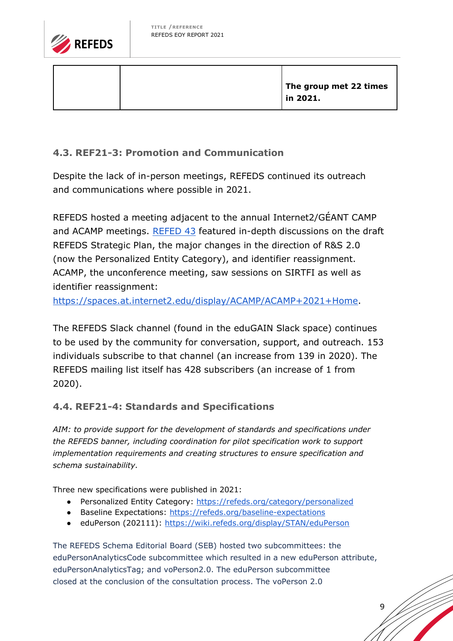

**The group met 22 times in 2021.**

### <span id="page-8-0"></span>**4.3. REF21-3: Promotion and Communication**

Despite the lack of in-person meetings, REFEDS continued its outreach and communications where possible in 2021.

REFEDS hosted a meeting adjacent to the annual Internet2/GÉANT CAMP and ACAMP meetings. [REFED 43](https://refeds.org/meetings/43rd) featured in-depth discussions on the draft REFEDS Strategic Plan, the major changes in the direction of R&S 2.0 (now the Personalized Entity Category), and identifier reassignment. ACAMP, the unconference meeting, saw sessions on SIRTFI as well as identifier reassignment:

[https://spaces.at.internet2.edu/display/ACAMP/ACAMP+2021+Home.](https://spaces.at.internet2.edu/display/ACAMP/ACAMP+2021+Home)

The REFEDS Slack channel (found in the eduGAIN Slack space) continues to be used by the community for conversation, support, and outreach. 153 individuals subscribe to that channel (an increase from 139 in 2020). The REFEDS mailing list itself has 428 subscribers (an increase of 1 from 2020).

#### <span id="page-8-1"></span>**4.4. REF21-4: Standards and Specifications**

*AIM: to provide support for the development of standards and specifications under the REFEDS banner, including coordination for pilot specification work to support implementation requirements and creating structures to ensure specification and schema sustainability.*

Three new specifications were published in 2021:

- Personalized Entity Category:<https://refeds.org/category/personalized>
- Baseline Expectations:<https://refeds.org/baseline-expectations>
- eduPerson (202111):<https://wiki.refeds.org/display/STAN/eduPerson>

The REFEDS Schema Editorial Board (SEB) hosted two subcommittees: the eduPersonAnalyticsCode subcommittee which resulted in a new eduPerson attribute, eduPersonAnalyticsTag; and voPerson2.0. The eduPerson subcommittee closed at the conclusion of the consultation process. The voPerson 2.0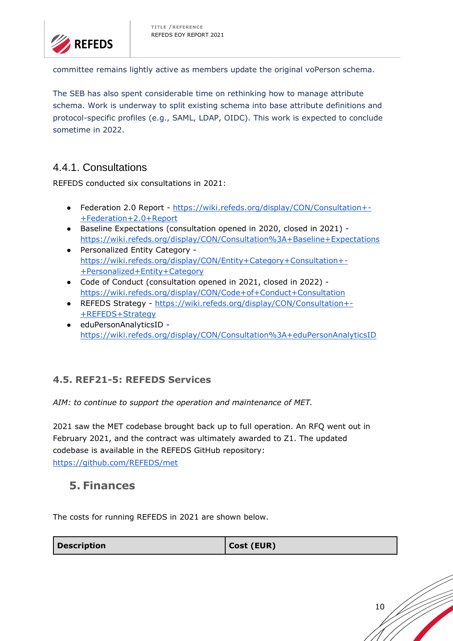

committee remains lightly active as members update the original voPerson schema.

The SEB has also spent considerable time on rethinking how to manage attribute schema. Work is underway to split existing schema into base attribute definitions and protocol-specific profiles (e.g., SAML, LDAP, OIDC). This work is expected to conclude sometime in 2022.

### 4.4.1. Consultations

REFEDS conducted six consultations in 2021:

- Federation 2.0 Report [https://wiki.refeds.org/display/CON/Consultation+-](https://wiki.refeds.org/display/CON/Consultation+-+Federation+2.0+Report) [+Federation+2.0+Report](https://wiki.refeds.org/display/CON/Consultation+-+Federation+2.0+Report)
- Baseline Expectations (consultation opened in 2020, closed in 2021) <https://wiki.refeds.org/display/CON/Consultation%3A+Baseline+Expectations>
- Personalized Entity Category [https://wiki.refeds.org/display/CON/Entity+Category+Consultation+-](https://wiki.refeds.org/display/CON/Entity+Category+Consultation+-+Personalized+Entity+Category) [+Personalized+Entity+Category](https://wiki.refeds.org/display/CON/Entity+Category+Consultation+-+Personalized+Entity+Category)
- Code of Conduct (consultation opened in 2021, closed in 2022) <https://wiki.refeds.org/display/CON/Code+of+Conduct+Consultation>
- REFEDS Strategy [https://wiki.refeds.org/display/CON/Consultation+-](https://wiki.refeds.org/display/CON/Consultation+-+REFEDS+Strategy) [+REFEDS+Strategy](https://wiki.refeds.org/display/CON/Consultation+-+REFEDS+Strategy)
- eduPersonAnalyticsID <https://wiki.refeds.org/display/CON/Consultation%3A+eduPersonAnalyticsID>

#### <span id="page-9-0"></span>**4.5. REF21-5: REFEDS Services**

*AIM: to continue to support the operation and maintenance of MET.*

2021 saw the MET codebase brought back up to full operation. An RFQ went out in February 2021, and the contract was ultimately awarded to Z1. The updated codebase is available in the REFEDS GitHub repository: <https://github.com/REFEDS/met>

### <span id="page-9-1"></span>**5. Finances**

The costs for running REFEDS in 2021 are shown below.

| <b>Description</b> | Cost (EUR) |
|--------------------|------------|
|                    |            |